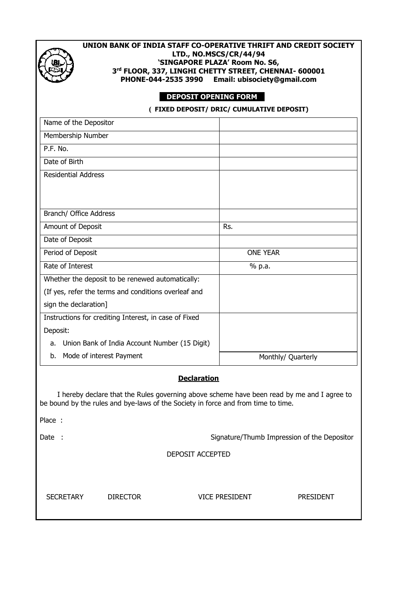

## **UNION BANK OF INDIA STAFF CO-OPERATIVE THRIFT AND CREDIT SOCIETY LTD., NO.MSCS/CR/44/94 'SINGAPORE PLAZA' Room No. S6, 3 rd FLOOR, 337, LINGHI CHETTY STREET, CHENNAI- 600001 PHONE-044-2535 3990 Email: ubisociety@gmail.com**

## **DEPOSIT OPENING FORM**

 **( FIXED DEPOSIT/ DRIC/ CUMULATIVE DEPOSIT)**

| Name of the Depositor                                                                                                                                                           |                                             |  |  |  |  |  |
|---------------------------------------------------------------------------------------------------------------------------------------------------------------------------------|---------------------------------------------|--|--|--|--|--|
| Membership Number                                                                                                                                                               |                                             |  |  |  |  |  |
| P.F. No.                                                                                                                                                                        |                                             |  |  |  |  |  |
| Date of Birth                                                                                                                                                                   |                                             |  |  |  |  |  |
| <b>Residential Address</b>                                                                                                                                                      |                                             |  |  |  |  |  |
|                                                                                                                                                                                 |                                             |  |  |  |  |  |
|                                                                                                                                                                                 |                                             |  |  |  |  |  |
| Branch/ Office Address                                                                                                                                                          |                                             |  |  |  |  |  |
| Amount of Deposit                                                                                                                                                               | Rs.                                         |  |  |  |  |  |
| Date of Deposit                                                                                                                                                                 |                                             |  |  |  |  |  |
| Period of Deposit                                                                                                                                                               | <b>ONE YEAR</b>                             |  |  |  |  |  |
| Rate of Interest                                                                                                                                                                | % p.a.                                      |  |  |  |  |  |
| Whether the deposit to be renewed automatically:                                                                                                                                |                                             |  |  |  |  |  |
| (If yes, refer the terms and conditions overleaf and                                                                                                                            |                                             |  |  |  |  |  |
| sign the declaration]                                                                                                                                                           |                                             |  |  |  |  |  |
| Instructions for crediting Interest, in case of Fixed                                                                                                                           |                                             |  |  |  |  |  |
| Deposit:                                                                                                                                                                        |                                             |  |  |  |  |  |
| Union Bank of India Account Number (15 Digit)<br>a.                                                                                                                             |                                             |  |  |  |  |  |
| Mode of interest Payment<br>b.                                                                                                                                                  | Monthly/ Quarterly                          |  |  |  |  |  |
| <b>Declaration</b>                                                                                                                                                              |                                             |  |  |  |  |  |
| I hereby declare that the Rules governing above scheme have been read by me and I agree to<br>be bound by the rules and bye-laws of the Society in force and from time to time. |                                             |  |  |  |  |  |
| Place :                                                                                                                                                                         |                                             |  |  |  |  |  |
| Date:                                                                                                                                                                           | Signature/Thumb Impression of the Depositor |  |  |  |  |  |
| <b>DEPOSIT ACCEPTED</b>                                                                                                                                                         |                                             |  |  |  |  |  |
|                                                                                                                                                                                 |                                             |  |  |  |  |  |
|                                                                                                                                                                                 |                                             |  |  |  |  |  |

SECRETARY DIRECTOR VICE PRESIDENT PRESIDENT